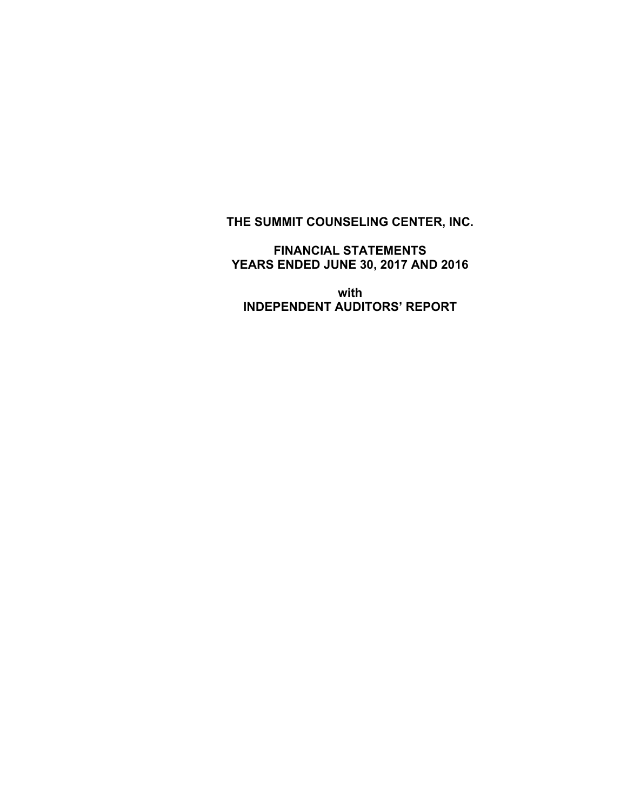# **THE SUMMIT COUNSELING CENTER, INC.**

**FINANCIAL STATEMENTS YEARS ENDED JUNE 30, 2017 AND 2016** 

**with INDEPENDENT AUDITORS' REPORT**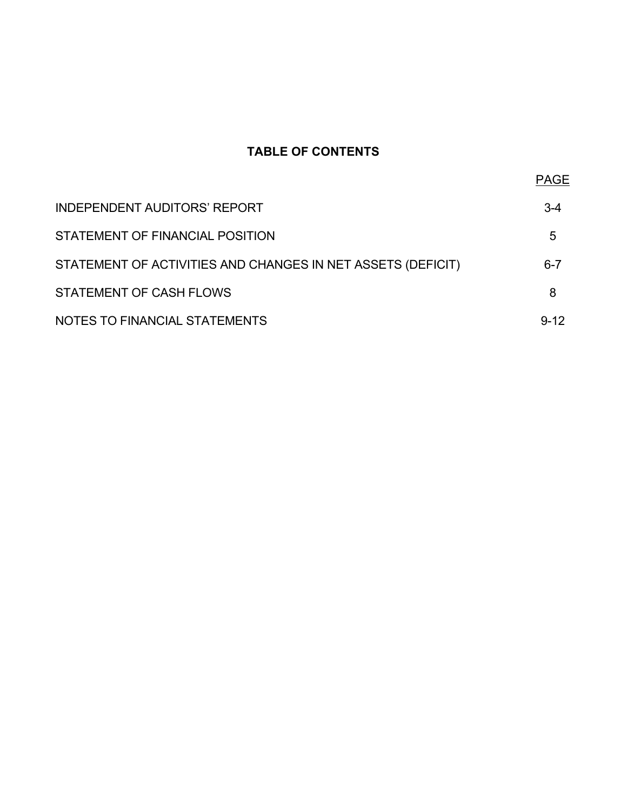# **TABLE OF CONTENTS**

| <b>INDEPENDENT AUDITORS' REPORT</b>                         | $3-4$    |
|-------------------------------------------------------------|----------|
| STATEMENT OF FINANCIAL POSITION                             | 5        |
| STATEMENT OF ACTIVITIES AND CHANGES IN NET ASSETS (DEFICIT) | $6 - 7$  |
| STATEMENT OF CASH FLOWS                                     | 8        |
| NOTES TO FINANCIAL STATEMENTS                               | $9 - 12$ |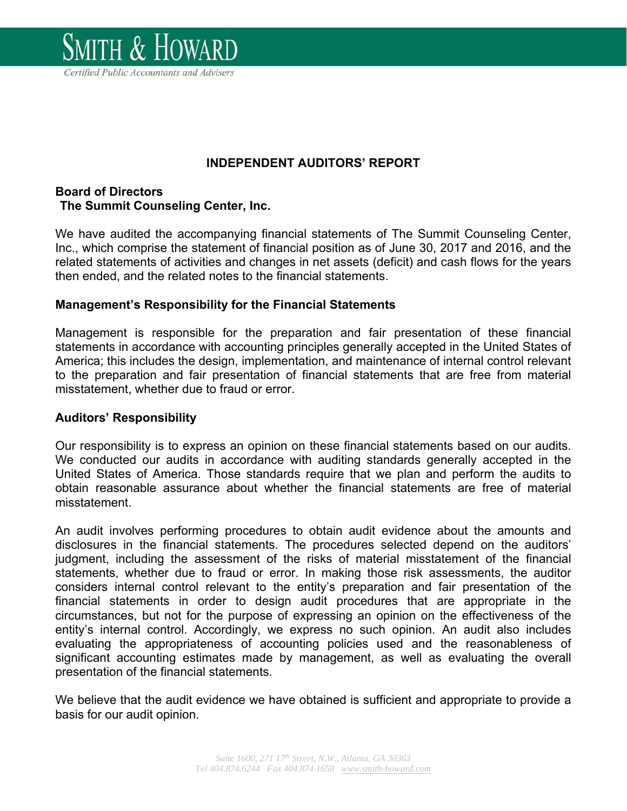

**INDEPENDENT AUDITORS' REPORT** 

# **Board of Directors The Summit Counseling Center, Inc.**

We have audited the accompanying financial statements of The Summit Counseling Center, Inc., which comprise the statement of financial position as of June 30, 2017 and 2016, and the related statements of activities and changes in net assets (deficit) and cash flows for the years then ended, and the related notes to the financial statements.

# **Management's Responsibility for the Financial Statements**

Management is responsible for the preparation and fair presentation of these financial statements in accordance with accounting principles generally accepted in the United States of America; this includes the design, implementation, and maintenance of internal control relevant to the preparation and fair presentation of financial statements that are free from material misstatement, whether due to fraud or error.

# **Auditors' Responsibility**

Our responsibility is to express an opinion on these financial statements based on our audits. We conducted our audits in accordance with auditing standards generally accepted in the United States of America. Those standards require that we plan and perform the audits to obtain reasonable assurance about whether the financial statements are free of material misstatement.

An audit involves performing procedures to obtain audit evidence about the amounts and disclosures in the financial statements. The procedures selected depend on the auditors' judgment, including the assessment of the risks of material misstatement of the financial statements, whether due to fraud or error. In making those risk assessments, the auditor considers internal control relevant to the entity's preparation and fair presentation of the financial statements in order to design audit procedures that are appropriate in the circumstances, but not for the purpose of expressing an opinion on the effectiveness of the entity's internal control. Accordingly, we express no such opinion. An audit also includes evaluating the appropriateness of accounting policies used and the reasonableness of significant accounting estimates made by management, as well as evaluating the overall presentation of the financial statements.

We believe that the audit evidence we have obtained is sufficient and appropriate to provide a basis for our audit opinion.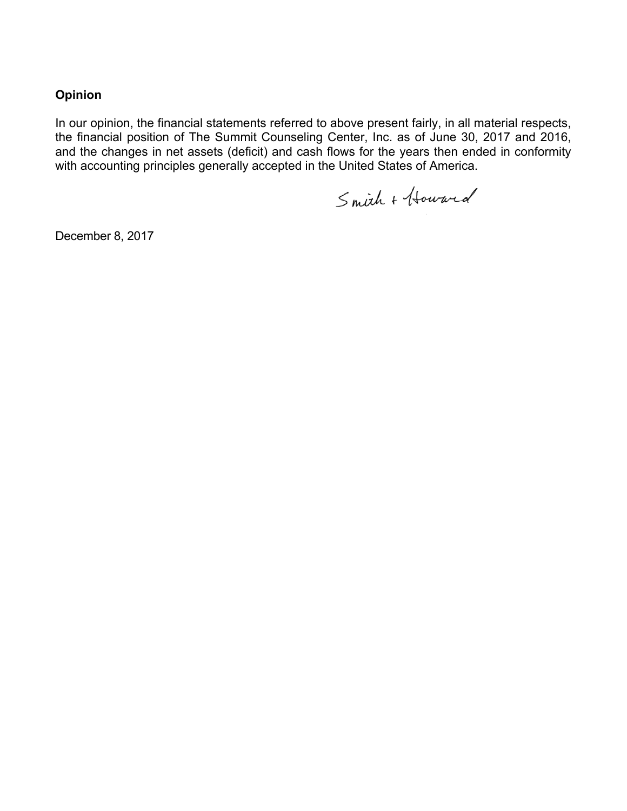# **Opinion**

In our opinion, the financial statements referred to above present fairly, in all material respects, the financial position of The Summit Counseling Center, Inc. as of June 30, 2017 and 2016, and the changes in net assets (deficit) and cash flows for the years then ended in conformity with accounting principles generally accepted in the United States of America.

Smith + Howard

December 8, 2017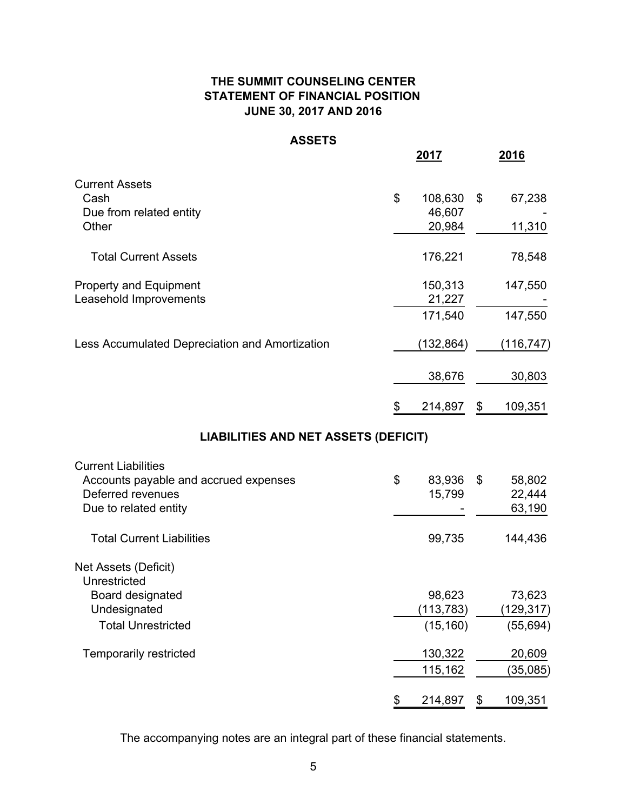# **JUNE 30, 2017 AND 2016 THE SUMMIT COUNSELING CENTER STATEMENT OF FINANCIAL POSITION**

#### **ASSETS**

|               | <b>2016</b>                                                          |
|---------------|----------------------------------------------------------------------|
|               |                                                                      |
| 108,630<br>\$ | 67,238                                                               |
|               |                                                                      |
|               | 11,310                                                               |
| 176,221       | 78,548                                                               |
| 150,313       | 147,550                                                              |
| 21,227        |                                                                      |
| 171,540       | 147,550                                                              |
| (132,864)     | (116,747)                                                            |
| 38,676        | 30,803                                                               |
| 214,897<br>\$ | 109,351                                                              |
|               |                                                                      |
|               |                                                                      |
| 83,936<br>\$  | 58,802                                                               |
| 15,799        | 22,444                                                               |
|               | 63,190                                                               |
| 99,735        | 144,436                                                              |
|               |                                                                      |
|               | 73,623                                                               |
|               | (129, 317)                                                           |
| (15, 160)     | (55, 694)                                                            |
|               | 20,609                                                               |
| 115,162       | (35,085)                                                             |
|               | 109,351                                                              |
|               | 46,607<br>20,984<br>98,623<br>(113, 783)<br>130,322<br>214,897<br>\$ |

The accompanying notes are an integral part of these financial statements.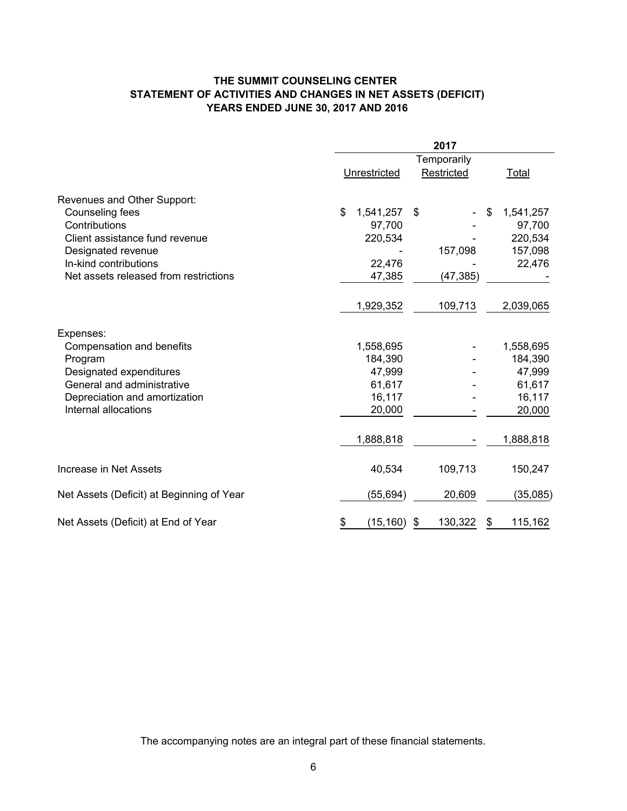#### **THE SUMMIT COUNSELING CENTER STATEMENT OF ACTIVITIES AND CHANGES IN NET ASSETS (DEFICIT) YEARS ENDED JUNE 30, 2017 AND 2016**

|                                           | 2017            |               |                 |  |
|-------------------------------------------|-----------------|---------------|-----------------|--|
|                                           | Temporarily     |               |                 |  |
|                                           | Unrestricted    | Restricted    | Total           |  |
| Revenues and Other Support:               |                 |               |                 |  |
| Counseling fees                           | \$<br>1,541,257 | \$            | 1,541,257<br>\$ |  |
| Contributions                             | 97,700          |               | 97,700          |  |
| Client assistance fund revenue            | 220,534         |               | 220,534         |  |
| Designated revenue                        |                 | 157,098       | 157,098         |  |
| In-kind contributions                     | 22,476          |               | 22,476          |  |
| Net assets released from restrictions     | 47,385          | (47, 385)     |                 |  |
|                                           |                 |               |                 |  |
|                                           | 1,929,352       | 109,713       | 2,039,065       |  |
| Expenses:                                 |                 |               |                 |  |
| Compensation and benefits                 | 1,558,695       |               | 1,558,695       |  |
| Program                                   | 184,390         |               | 184,390         |  |
| Designated expenditures                   | 47,999          |               | 47,999          |  |
| General and administrative                | 61,617          |               | 61,617          |  |
| Depreciation and amortization             | 16,117          |               | 16,117          |  |
| Internal allocations                      | 20,000          |               | 20,000          |  |
|                                           |                 |               |                 |  |
|                                           | 1,888,818       |               | 1,888,818       |  |
| Increase in Net Assets                    | 40,534          | 109,713       | 150,247         |  |
| Net Assets (Deficit) at Beginning of Year | (55, 694)       | 20,609        | (35,085)        |  |
|                                           |                 |               |                 |  |
| Net Assets (Deficit) at End of Year       | (15, 160)<br>\$ | 130,322<br>\$ | 115,162<br>\$   |  |

The accompanying notes are an integral part of these financial statements.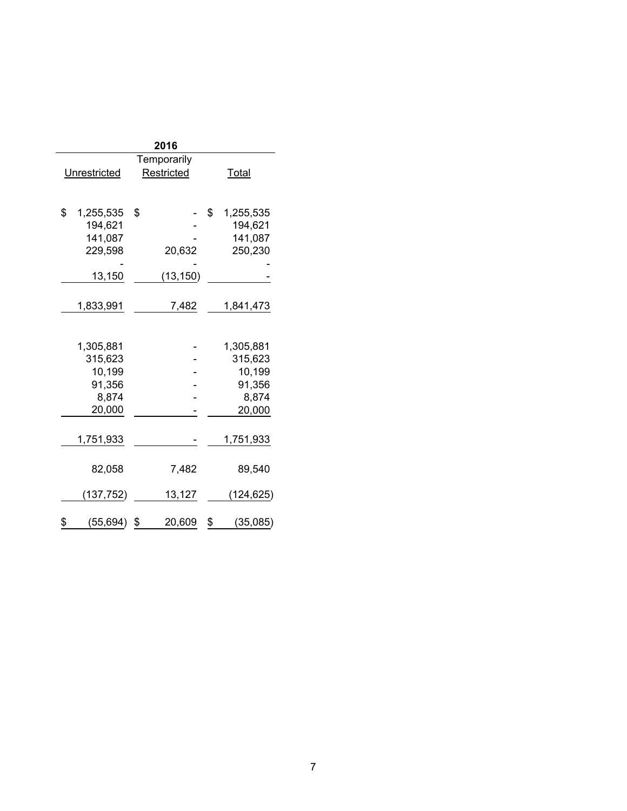| 2016        |              |              |    |              |  |
|-------------|--------------|--------------|----|--------------|--|
| Temporarily |              |              |    |              |  |
|             | Unrestricted | Restricted   |    | <b>Total</b> |  |
|             |              |              |    |              |  |
|             |              |              |    |              |  |
| \$          | 1,255,535    | \$           | \$ | 1,255,535    |  |
|             | 194,621      |              |    | 194,621      |  |
|             | 141,087      |              |    | 141,087      |  |
|             | 229,598      | 20,632       |    | 250,230      |  |
|             |              |              |    |              |  |
|             | 13,150       | (13, 150)    |    |              |  |
|             |              |              |    |              |  |
|             | 1,833,991    | 7,482        |    | 1,841,473    |  |
|             |              |              |    |              |  |
|             | 1,305,881    |              |    | 1,305,881    |  |
|             | 315,623      |              |    | 315,623      |  |
|             | 10,199       |              |    | 10,199       |  |
|             | 91,356       |              |    | 91,356       |  |
|             | 8,874        |              |    | 8,874        |  |
|             | 20,000       |              |    | 20,000       |  |
|             |              |              |    |              |  |
|             | 1,751,933    |              |    | 1,751,933    |  |
|             |              |              |    |              |  |
|             | 82,058       | 7,482        |    | 89,540       |  |
|             |              |              |    |              |  |
|             | (137, 752)   | 13,127       |    | (124, 625)   |  |
| \$          | (55, 694)    | \$<br>20,609 | \$ | (35,085)     |  |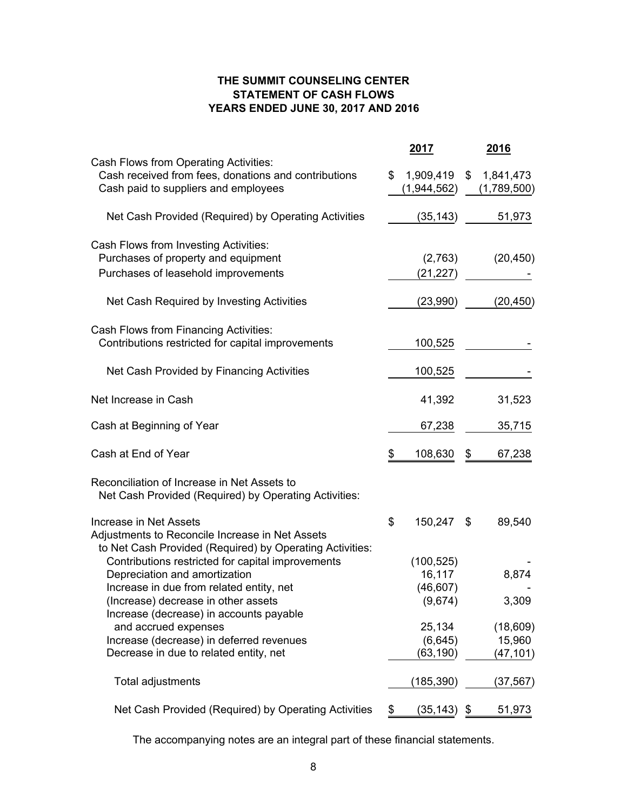### **THE SUMMIT COUNSELING CENTER STATEMENT OF CASH FLOWS YEARS ENDED JUNE 30, 2017 AND 2016**

|                                                                                                                                       | <u>2017</u>                    | <u>2016</u>                    |
|---------------------------------------------------------------------------------------------------------------------------------------|--------------------------------|--------------------------------|
| Cash Flows from Operating Activities:<br>Cash received from fees, donations and contributions<br>Cash paid to suppliers and employees | \$<br>1,909,419<br>(1,944,562) | \$<br>1,841,473<br>(1,789,500) |
| Net Cash Provided (Required) by Operating Activities                                                                                  | (35, 143)                      | 51,973                         |
| Cash Flows from Investing Activities:                                                                                                 |                                |                                |
| Purchases of property and equipment                                                                                                   | (2,763)                        | (20, 450)                      |
| Purchases of leasehold improvements                                                                                                   | (21,227)                       |                                |
| Net Cash Required by Investing Activities                                                                                             | (23,990)                       | (20, 450)                      |
| Cash Flows from Financing Activities:                                                                                                 |                                |                                |
| Contributions restricted for capital improvements                                                                                     | 100,525                        |                                |
| Net Cash Provided by Financing Activities                                                                                             | 100,525                        |                                |
| Net Increase in Cash                                                                                                                  | 41,392                         | 31,523                         |
| Cash at Beginning of Year                                                                                                             | 67,238                         | 35,715                         |
| Cash at End of Year                                                                                                                   | \$<br>108,630                  | \$<br>67,238                   |
| Reconciliation of Increase in Net Assets to<br>Net Cash Provided (Required) by Operating Activities:                                  |                                |                                |
| Increase in Net Assets<br>Adjustments to Reconcile Increase in Net Assets<br>to Net Cash Provided (Required) by Operating Activities: | \$<br>150,247 \$               | 89,540                         |
| Contributions restricted for capital improvements                                                                                     | (100, 525)                     |                                |
| Depreciation and amortization                                                                                                         | 16,117                         | 8,874                          |
| Increase in due from related entity, net                                                                                              | (46, 607)                      |                                |
| (Increase) decrease in other assets<br>Increase (decrease) in accounts payable                                                        | (9,674)                        | 3,309                          |
| and accrued expenses                                                                                                                  | 25,134                         | (18, 609)                      |
| Increase (decrease) in deferred revenues                                                                                              | (6,645)                        | 15,960                         |
| Decrease in due to related entity, net                                                                                                | (63, 190)                      | (47,101)                       |
| Total adjustments                                                                                                                     | (185,390)                      | (37,567)                       |
| Net Cash Provided (Required) by Operating Activities                                                                                  | \$<br>$(35, 143)$ \$           | 51,973                         |

The accompanying notes are an integral part of these financial statements.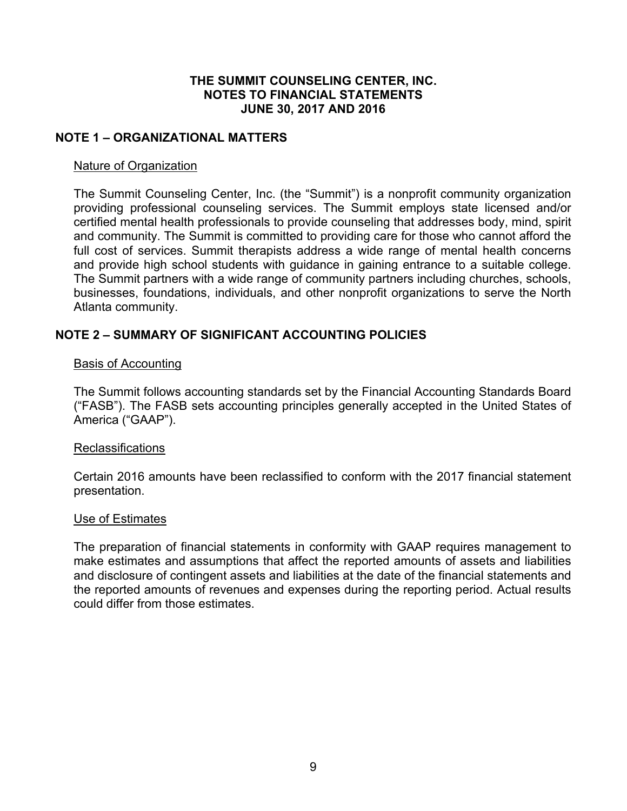# **NOTE 1 – ORGANIZATIONAL MATTERS**

### Nature of Organization

The Summit Counseling Center, Inc. (the "Summit") is a nonprofit community organization providing professional counseling services. The Summit employs state licensed and/or certified mental health professionals to provide counseling that addresses body, mind, spirit and community. The Summit is committed to providing care for those who cannot afford the full cost of services. Summit therapists address a wide range of mental health concerns and provide high school students with guidance in gaining entrance to a suitable college. The Summit partners with a wide range of community partners including churches, schools, businesses, foundations, individuals, and other nonprofit organizations to serve the North Atlanta community.

# **NOTE 2 – SUMMARY OF SIGNIFICANT ACCOUNTING POLICIES**

#### Basis of Accounting

The Summit follows accounting standards set by the Financial Accounting Standards Board ("FASB"). The FASB sets accounting principles generally accepted in the United States of America ("GAAP").

#### **Reclassifications**

Certain 2016 amounts have been reclassified to conform with the 2017 financial statement presentation.

#### Use of Estimates

The preparation of financial statements in conformity with GAAP requires management to make estimates and assumptions that affect the reported amounts of assets and liabilities and disclosure of contingent assets and liabilities at the date of the financial statements and the reported amounts of revenues and expenses during the reporting period. Actual results could differ from those estimates.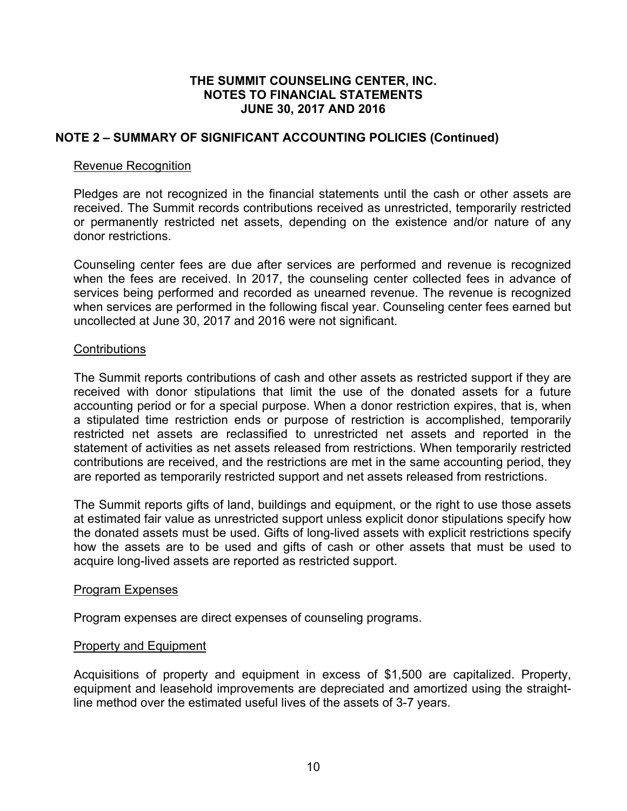# **NOTE 2 – SUMMARY OF SIGNIFICANT ACCOUNTING POLICIES (Continued)**

#### Revenue Recognition

Pledges are not recognized in the financial statements until the cash or other assets are received. The Summit records contributions received as unrestricted, temporarily restricted or permanently restricted net assets, depending on the existence and/or nature of any donor restrictions.

Counseling center fees are due after services are performed and revenue is recognized when the fees are received. In 2017, the counseling center collected fees in advance of services being performed and recorded as unearned revenue. The revenue is recognized when services are performed in the following fiscal year. Counseling center fees earned but uncollected at June 30, 2017 and 2016 were not significant.

### **Contributions**

The Summit reports contributions of cash and other assets as restricted support if they are received with donor stipulations that limit the use of the donated assets for a future accounting period or for a special purpose. When a donor restriction expires, that is, when a stipulated time restriction ends or purpose of restriction is accomplished, temporarily restricted net assets are reclassified to unrestricted net assets and reported in the statement of activities as net assets released from restrictions. When temporarily restricted contributions are received, and the restrictions are met in the same accounting period, they are reported as temporarily restricted support and net assets released from restrictions.

The Summit reports gifts of land, buildings and equipment, or the right to use those assets at estimated fair value as unrestricted support unless explicit donor stipulations specify how the donated assets must be used. Gifts of long-lived assets with explicit restrictions specify how the assets are to be used and gifts of cash or other assets that must be used to acquire long-lived assets are reported as restricted support.

#### Program Expenses

Program expenses are direct expenses of counseling programs.

#### Property and Equipment

Acquisitions of property and equipment in excess of \$1,500 are capitalized. Property, equipment and leasehold improvements are depreciated and amortized using the straightline method over the estimated useful lives of the assets of 3-7 years.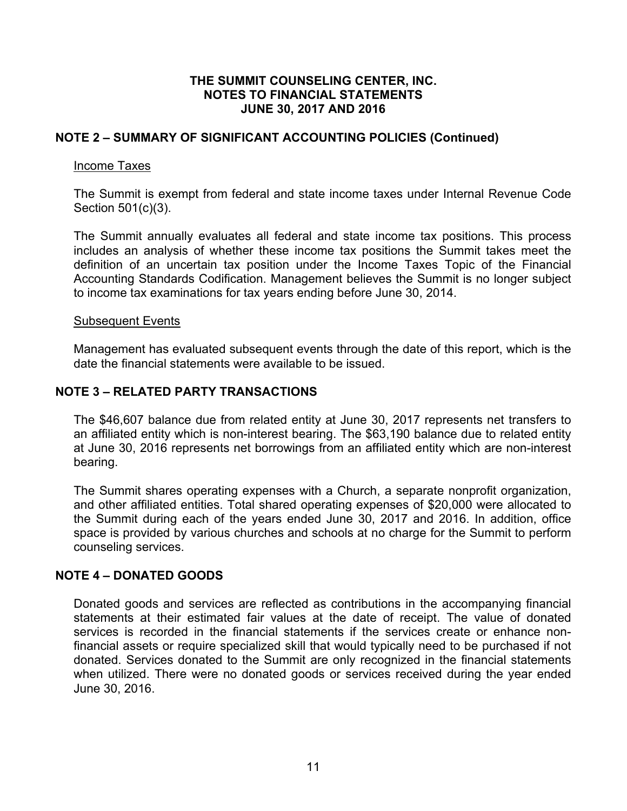# **NOTE 2 – SUMMARY OF SIGNIFICANT ACCOUNTING POLICIES (Continued)**

### Income Taxes

The Summit is exempt from federal and state income taxes under Internal Revenue Code Section 501(c)(3).

The Summit annually evaluates all federal and state income tax positions. This process includes an analysis of whether these income tax positions the Summit takes meet the definition of an uncertain tax position under the Income Taxes Topic of the Financial Accounting Standards Codification. Management believes the Summit is no longer subject to income tax examinations for tax years ending before June 30, 2014.

#### Subsequent Events

Management has evaluated subsequent events through the date of this report, which is the date the financial statements were available to be issued.

# **NOTE 3 – RELATED PARTY TRANSACTIONS**

The \$46,607 balance due from related entity at June 30, 2017 represents net transfers to an affiliated entity which is non-interest bearing. The \$63,190 balance due to related entity at June 30, 2016 represents net borrowings from an affiliated entity which are non-interest bearing.

The Summit shares operating expenses with a Church, a separate nonprofit organization, and other affiliated entities. Total shared operating expenses of \$20,000 were allocated to the Summit during each of the years ended June 30, 2017 and 2016. In addition, office space is provided by various churches and schools at no charge for the Summit to perform counseling services.

# **NOTE 4 – DONATED GOODS**

Donated goods and services are reflected as contributions in the accompanying financial statements at their estimated fair values at the date of receipt. The value of donated services is recorded in the financial statements if the services create or enhance nonfinancial assets or require specialized skill that would typically need to be purchased if not donated. Services donated to the Summit are only recognized in the financial statements when utilized. There were no donated goods or services received during the year ended June 30, 2016.